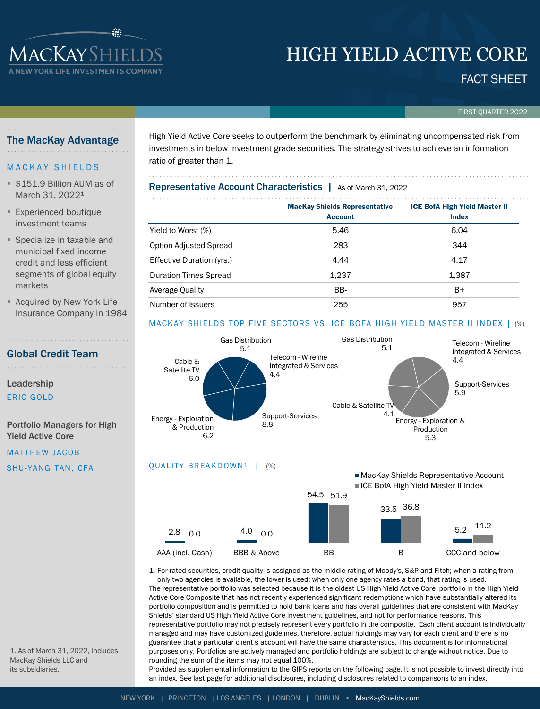# HIGH YIELD ACTIVE CORE

# FACT SHEET

FIRST QUARTER 2022

# The MacKay Advantage

**1 ACKAY SHIELI V YORK LIFE INVESTMENTS C** 

# **MACKAY SHIELDS**

- \$151.9 Billion AUM as of March 31, 2022<sup>1</sup>
- **Experienced boutique** investment teams
- Specialize in taxable and municipal fixed income credit and less efficient segments of global equity markets
- Acquired by New York Life Insurance Company in 1984

Global Credit Team

Leadership

ERIC GOLD

Portfolio Managers for High Yield Active Core

MATTHEW JACOB

SHU-YANG TAN, CFA

High Yield Active Core seeks to outperform the benchmark by eliminating uncompensated risk from investments in below investment grade securities. The strategy strives to achieve an information ratio of greater than 1.

Representative Account Characteristics | As of March 31, 2022

|                               | <b>MacKay Shields Representative</b><br><b>Account</b> | <b>ICE BofA High Yield Master II</b><br><b>Index</b> |  |  |  |  |  |  |
|-------------------------------|--------------------------------------------------------|------------------------------------------------------|--|--|--|--|--|--|
|                               |                                                        |                                                      |  |  |  |  |  |  |
| Yield to Worst (%)            | 5.46                                                   | 6.04                                                 |  |  |  |  |  |  |
| <b>Option Adjusted Spread</b> | 283                                                    | 344                                                  |  |  |  |  |  |  |
| Effective Duration (yrs.)     | 4.44                                                   | 4.17                                                 |  |  |  |  |  |  |
| <b>Duration Times Spread</b>  | 1,237                                                  | 1,387                                                |  |  |  |  |  |  |
| Average Quality               | BB-                                                    | B+                                                   |  |  |  |  |  |  |
| Number of Issuers             | 255                                                    | 957                                                  |  |  |  |  |  |  |

# MACKAY SHIELDS TOP FIVE SECTORS VS. ICE BOFA HIGH YIELD MASTER II INDEX | (%)



1. For rated securities, credit quality is assigned as the middle rating of Moody's, S&P and Fitch; when a rating from only two agencies is available, the lower is used; when only one agency rates a bond, that rating is used. The representative portfolio was selected because it is the oldest US High Yield Active Core portfolio in the High Yield Active Core Composite that has not recently experienced significant redemptions which have substantially altered its portfolio composition and is permitted to hold bank loans and has overall guidelines that are consistent with MacKay Shields' standard US High Yield Active Core investment guidelines, and not for performance reasons. This representative portfolio may not precisely represent every portfolio in the composite. Each client account is individually managed and may have customized guidelines, therefore, actual holdings may vary for each client and there is no guarantee that a particular client's account will have the same characteristics. This document is for informational purposes only. Portfolios are actively managed and portfolio holdings are subject to change without notice. Due to rounding the sum of the items may not equal 100%.

1. As of March 31, 2022, includes MacKay Shields LLC and its subsidiaries.

Provided as supplemental information to the GIPS reports on the following page. It is not possible to invest directly into an index. See last page for additional disclosures, including disclosures related to comparisons to an index.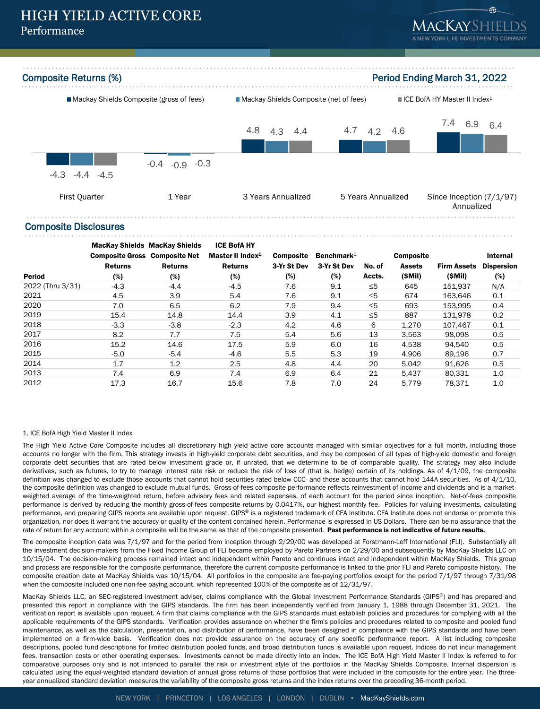



#### Composite Disclosures

|                  | <b>Composite Gross Composite Net</b> | <b>MacKay Shields MacKay Shields</b> | <b>ICE BofA HY</b><br>Master II Index <sup>1</sup> | <b>Composite</b> | Benchmark $1$ |          | <b>Composite</b> |                    | Internal          |
|------------------|--------------------------------------|--------------------------------------|----------------------------------------------------|------------------|---------------|----------|------------------|--------------------|-------------------|
|                  | <b>Returns</b>                       | <b>Returns</b>                       | <b>Returns</b>                                     | 3-Yr St Dev      | 3-Yr St Dev   | No. of   | <b>Assets</b>    | <b>Firm Assets</b> | <b>Dispersion</b> |
| <b>Period</b>    | (%)                                  | $(\%)$                               | (%)                                                | (%)              | (%)           | Accts.   | (SMil)           | (SMil)             | (%)               |
| 2022 (Thru 3/31) | $-4.3$                               | $-4.4$                               | $-4.5$                                             | 7.6              | 9.1           | $\leq 5$ | 645              | 151.937            | N/A               |
| 2021             | 4.5                                  | 3.9                                  | 5.4                                                | 7.6              | 9.1           | $\leq 5$ | 674              | 163,646            | 0.1               |
| 2020             | 7.0                                  | 6.5                                  | 6.2                                                | 7.9              | 9.4           | $\leq 5$ | 693              | 153.995            | 0.4               |
| 2019             | 15.4                                 | 14.8                                 | 14.4                                               | 3.9              | 4.1           | $\leq 5$ | 887              | 131.978            | 0.2               |
| 2018             | $-3.3$                               | $-3.8$                               | $-2.3$                                             | 4.2              | 4.6           | 6        | 1.270            | 107.467            | 0.1               |
| 2017             | 8.2                                  | 7.7                                  | 7.5                                                | 5.4              | 5.6           | 13       | 3,563            | 98,098             | 0.5               |
| 2016             | 15.2                                 | 14.6                                 | 17.5                                               | 5.9              | 6.0           | 16       | 4,538            | 94.540             | 0.5               |
| 2015             | $-5.0$                               | $-5.4$                               | $-4.6$                                             | 5.5              | 5.3           | 19       | 4.906            | 89.196             | 0.7               |
| 2014             | 1.7                                  | 1.2                                  | 2.5                                                | 4.8              | 4.4           | 20       | 5.042            | 91.626             | 0.5               |
| 2013             | 7.4                                  | 6.9                                  | 7.4                                                | 6.9              | 6.4           | 21       | 5.437            | 80,331             | 1.0               |
| 2012             | 17.3                                 | 16.7                                 | 15.6                                               | 7.8              | 7.0           | 24       | 5.779            | 78.371             | 1.0               |

#### 1. ICE BofA High Yield Master II Index

The High Yield Active Core Composite includes all discretionary high yield active core accounts managed with similar objectives for a full month, including those accounts no longer with the firm. This strategy invests in high-yield corporate debt securities, and may be composed of all types of high-yield domestic and foreign corporate debt securities that are rated below investment grade or, if unrated, that we determine to be of comparable quality. The strategy may also include derivatives, such as futures, to try to manage interest rate risk or reduce the risk of loss of (that is, hedge) certain of its holdings. As of 4/1/09, the composite definition was changed to exclude those accounts that cannot hold securities rated below CCC- and those accounts that cannot hold 144A securities. As of 4/1/10, the composite definition was changed to exclude mutual funds. Gross-of-fees composite performance reflects reinvestment of income and dividends and is a marketweighted average of the time-weighted return, before advisory fees and related expenses, of each account for the period since inception. Net-of-fees composite performance is derived by reducing the monthly gross-of-fees composite returns by 0.0417%, our highest monthly fee. Policies for valuing investments, calculating performance, and preparing GIPS reports are available upon request. GIPS® is a registered trademark of CFA Institute. CFA Institute does not endorse or promote this organization, nor does it warrant the accuracy or quality of the content contained herein. Performance is expressed in US Dollars. There can be no assurance that the rate of return for any account within a composite will be the same as that of the composite presented. Past performance is not indicative of future results.

The composite inception date was 7/1/97 and for the period from inception through 2/29/00 was developed at Forstmann-Leff International (FLI). Substantially all the investment decision-makers from the Fixed Income Group of FLI became employed by Pareto Partners on 2/29/00 and subsequently by MacKay Shields LLC on 10/15/04. The decision-making process remained intact and independent within Pareto and continues intact and independent within MacKay Shields. This group and process are responsible for the composite performance, therefore the current composite performance is linked to the prior FLI and Pareto composite history. The composite creation date at MacKay Shields was 10/15/04. All portfolios in the composite are fee-paying portfolios except for the period 7/1/97 through 7/31/98 when the composite included one non-fee paying account, which represented 100% of the composite as of 12/31/97.

MacKay Shields LLC, an SEC-registered investment adviser, claims compliance with the Global Investment Performance Standards (GIPS®) and has prepared and presented this report in compliance with the GIPS standards. The firm has been independently verified from January 1, 1988 through December 31, 2021. The verification report is available upon request. A firm that claims compliance with the GIPS standards must establish policies and procedures for complying with all the applicable requirements of the GIPS standards. Verification provides assurance on whether the firm's policies and procedures related to composite and pooled fund maintenance, as well as the calculation, presentation, and distribution of performance, have been designed in compliance with the GIPS standards and have been implemented on a firm-wide basis. Verification does not provide assurance on the accuracy of any specific performance report. A list including composite descriptions, pooled fund descriptions for limited distribution pooled funds, and broad distribution funds is available upon request. Indices do not incur management fees, transaction costs or other operating expenses. Investments cannot be made directly into an index. The ICE BofA High Yield Master II Index is referred to for comparative purposes only and is not intended to parallel the risk or investment style of the portfolios in the MacKay Shields Composite. Internal dispersion is calculated using the equal-weighted standard deviation of annual gross returns of those portfolios that were included in the composite for the entire year. The threeyear annualized standard deviation measures the variability of the composite gross returns and the index returns over the preceding 36-month period.